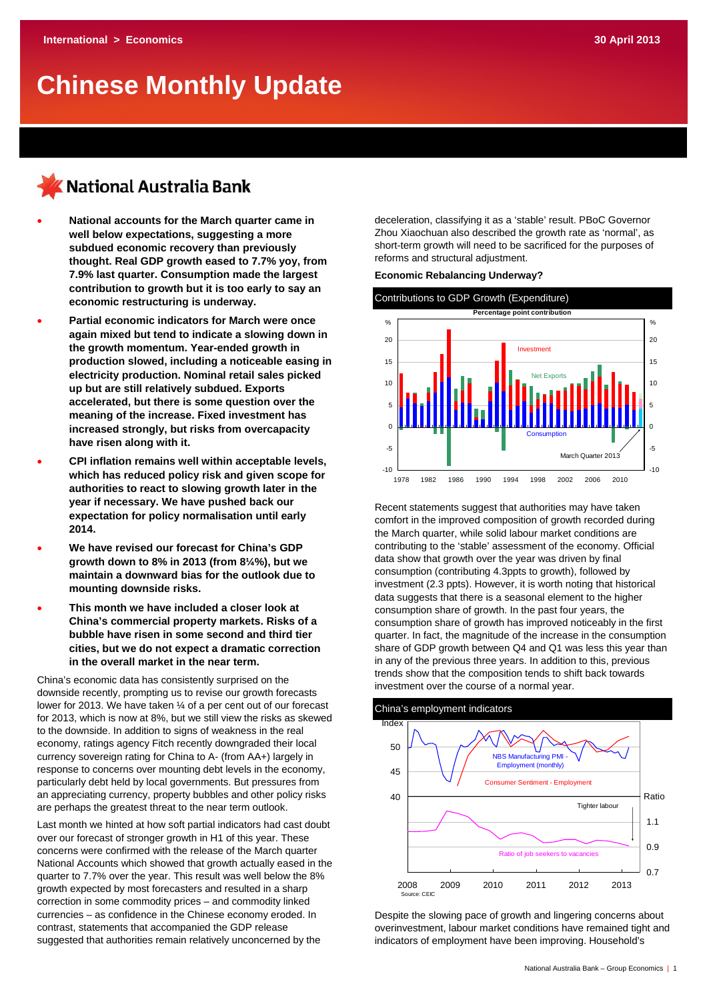# **Chinese Monthly Update**

## KNational Australia Bank

- **National accounts for the March quarter came in well below expectations, suggesting a more subdued economic recovery than previously thought. Real GDP growth eased to 7.7% yoy, from 7.9% last quarter. Consumption made the largest contribution to growth but it is too early to say an economic restructuring is underway.**
- **Partial economic indicators for March were once again mixed but tend to indicate a slowing down in the growth momentum. Year-ended growth in production slowed, including a noticeable easing in electricity production. Nominal retail sales picked up but are still relatively subdued. Exports accelerated, but there is some question over the meaning of the increase. Fixed investment has increased strongly, but risks from overcapacity have risen along with it.**
- **CPI inflation remains well within acceptable levels, which has reduced policy risk and given scope for authorities to react to slowing growth later in the year if necessary. We have pushed back our expectation for policy normalisation until early 2014.**
- **We have revised our forecast for China's GDP growth down to 8% in 2013 (from 8¼%), but we maintain a downward bias for the outlook due to mounting downside risks.**
- **This month we have included a closer look at China's commercial property markets. Risks of a bubble have risen in some second and third tier cities, but we do not expect a dramatic correction in the overall market in the near term.**

China's economic data has consistently surprised on the downside recently, prompting us to revise our growth forecasts lower for 2013. We have taken ¼ of a per cent out of our forecast for 2013, which is now at 8%, but we still view the risks as skewed to the downside. In addition to signs of weakness in the real economy, ratings agency Fitch recently downgraded their local currency sovereign rating for China to A- (from AA+) largely in response to concerns over mounting debt levels in the economy, particularly debt held by local governments. But pressures from an appreciating currency, property bubbles and other policy risks are perhaps the greatest threat to the near term outlook.

Last month we hinted at how soft partial indicators had cast doubt over our forecast of stronger growth in H1 of this year. These concerns were confirmed with the release of the March quarter National Accounts which showed that growth actually eased in the quarter to 7.7% over the year. This result was well below the 8% growth expected by most forecasters and resulted in a sharp correction in some commodity prices – and commodity linked currencies – as confidence in the Chinese economy eroded. In contrast, statements that accompanied the GDP release suggested that authorities remain relatively unconcerned by the

deceleration, classifying it as a 'stable' result. PBoC Governor Zhou Xiaochuan also described the growth rate as 'normal', as short-term growth will need to be sacrificed for the purposes of reforms and structural adjustment.

## **Economic Rebalancing Underway?**



Recent statements suggest that authorities may have taken comfort in the improved composition of growth recorded during the March quarter, while solid labour market conditions are contributing to the 'stable' assessment of the economy. Official data show that growth over the year was driven by final consumption (contributing 4.3ppts to growth), followed by investment (2.3 ppts). However, it is worth noting that historical data suggests that there is a seasonal element to the higher consumption share of growth. In the past four years, the consumption share of growth has improved noticeably in the first quarter. In fact, the magnitude of the increase in the consumption share of GDP growth between Q4 and Q1 was less this year than in any of the previous three years. In addition to this, previous trends show that the composition tends to shift back towards investment over the course of a normal year.

## China's employment indicators



Despite the slowing pace of growth and lingering concerns about overinvestment, labour market conditions have remained tight and indicators of employment have been improving. Household's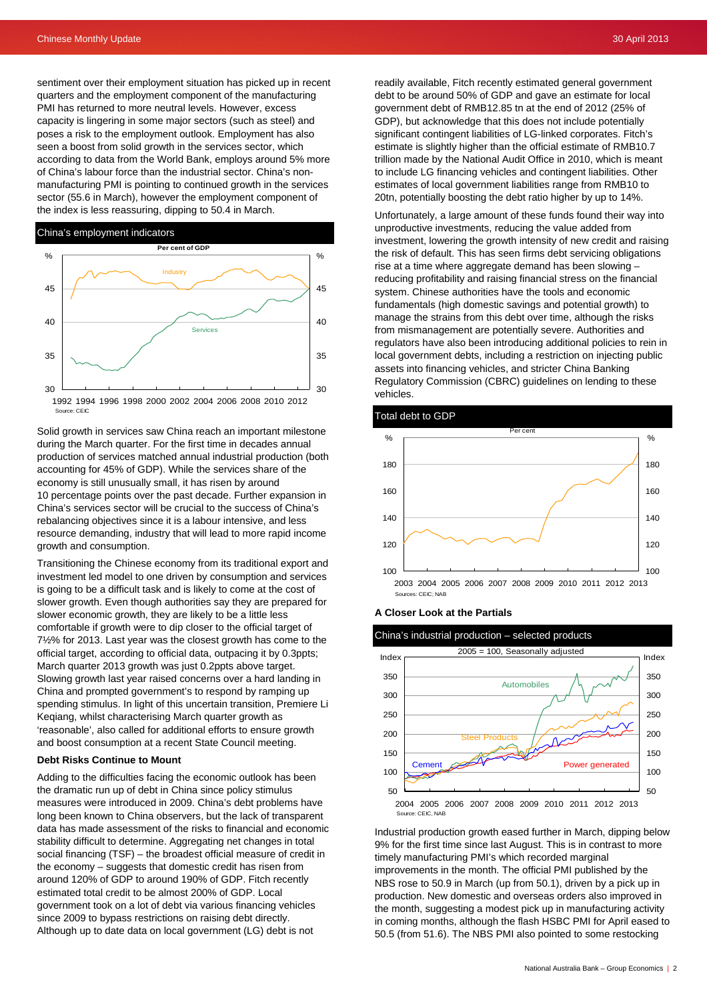sentiment over their employment situation has picked up in recent quarters and the employment component of the manufacturing PMI has returned to more neutral levels. However, excess capacity is lingering in some major sectors (such as steel) and poses a risk to the employment outlook. Employment has also seen a boost from solid growth in the services sector, which according to data from the World Bank, employs around 5% more of China's labour force than the industrial sector. China's nonmanufacturing PMI is pointing to continued growth in the services sector (55.6 in March), however the employment component of the index is less reassuring, dipping to 50.4 in March.



Solid growth in services saw China reach an important milestone during the March quarter. For the first time in decades annual production of services matched annual industrial production (both accounting for 45% of GDP). While the services share of the economy is still unusually small, it has risen by around 10 percentage points over the past decade. Further expansion in China's services sector will be crucial to the success of China's rebalancing objectives since it is a labour intensive, and less resource demanding, industry that will lead to more rapid income growth and consumption.

Transitioning the Chinese economy from its traditional export and investment led model to one driven by consumption and services is going to be a difficult task and is likely to come at the cost of slower growth. Even though authorities say they are prepared for slower economic growth, they are likely to be a little less comfortable if growth were to dip closer to the official target of 7½% for 2013. Last year was the closest growth has come to the official target, according to official data, outpacing it by 0.3ppts; March quarter 2013 growth was just 0.2ppts above target. Slowing growth last year raised concerns over a hard landing in China and prompted government's to respond by ramping up spending stimulus. In light of this uncertain transition, Premiere Li Keqiang, whilst characterising March quarter growth as 'reasonable', also called for additional efforts to ensure growth and boost consumption at a recent State Council meeting.

#### **Debt Risks Continue to Mount**

Adding to the difficulties facing the economic outlook has been the dramatic run up of debt in China since policy stimulus measures were introduced in 2009. China's debt problems have long been known to China observers, but the lack of transparent data has made assessment of the risks to financial and economic stability difficult to determine. Aggregating net changes in total social financing (TSF) – the broadest official measure of credit in the economy – suggests that domestic credit has risen from around 120% of GDP to around 190% of GDP. Fitch recently estimated total credit to be almost 200% of GDP. Local government took on a lot of debt via various financing vehicles since 2009 to bypass restrictions on raising debt directly. Although up to date data on local government (LG) debt is not

readily available, Fitch recently estimated general government debt to be around 50% of GDP and gave an estimate for local government debt of RMB12.85 tn at the end of 2012 (25% of GDP), but acknowledge that this does not include potentially significant contingent liabilities of LG-linked corporates. Fitch's estimate is slightly higher than the official estimate of RMB10.7 trillion made by the National Audit Office in 2010, which is meant to include LG financing vehicles and contingent liabilities. Other estimates of local government liabilities range from RMB10 to 20tn, potentially boosting the debt ratio higher by up to 14%.

Unfortunately, a large amount of these funds found their way into unproductive investments, reducing the value added from investment, lowering the growth intensity of new credit and raising the risk of default. This has seen firms debt servicing obligations rise at a time where aggregate demand has been slowing – reducing profitability and raising financial stress on the financial system. Chinese authorities have the tools and economic fundamentals (high domestic savings and potential growth) to manage the strains from this debt over time, although the risks from mismanagement are potentially severe. Authorities and regulators have also been introducing additional policies to rein in local government debts, including a restriction on injecting public assets into financing vehicles, and stricter China Banking Regulatory Commission (CBRC) guidelines on lending to these vehicles.



#### **A Closer Look at the Partials**



Industrial production growth eased further in March, dipping below 9% for the first time since last August. This is in contrast to more timely manufacturing PMI's which recorded marginal improvements in the month. The official PMI published by the NBS rose to 50.9 in March (up from 50.1), driven by a pick up in production. New domestic and overseas orders also improved in the month, suggesting a modest pick up in manufacturing activity in coming months, although the flash HSBC PMI for April eased to 50.5 (from 51.6). The NBS PMI also pointed to some restocking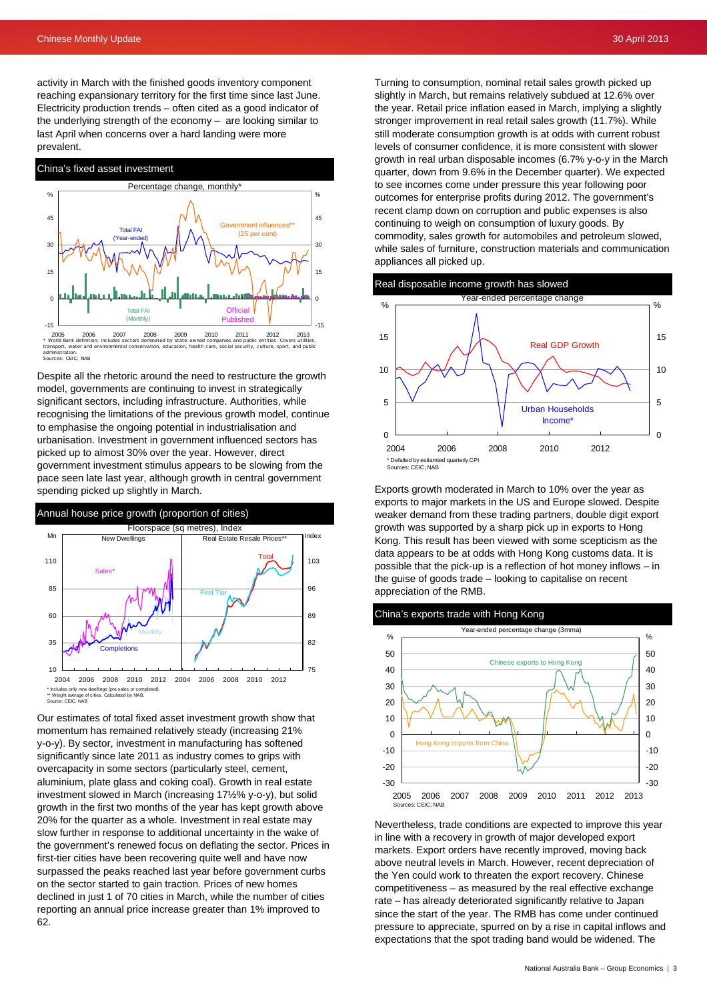activity in March with the finished goods inventory component reaching expansionary territory for the first time since last June. Electricity production trends – often cited as a good indicator of the underlying strength of the economy – are looking similar to last April when concerns over a hard landing were more prevalent.



Despite all the rhetoric around the need to restructure the growth model, governments are continuing to invest in strategically significant sectors, including infrastructure. Authorities, while recognising the limitations of the previous growth model, continue to emphasise the ongoing potential in industrialisation and urbanisation. Investment in government influenced sectors has picked up to almost 30% over the year. However, direct government investment stimulus appears to be slowing from the pace seen late last year, although growth in central government spending picked up slightly in March.



Our estimates of total fixed asset investment growth show that momentum has remained relatively steady (increasing 21% y-o-y). By sector, investment in manufacturing has softened significantly since late 2011 as industry comes to grips with overcapacity in some sectors (particularly steel, cement, aluminium, plate glass and coking coal). Growth in real estate investment slowed in March (increasing 17½% y-o-y), but solid growth in the first two months of the year has kept growth above 20% for the quarter as a whole. Investment in real estate may slow further in response to additional uncertainty in the wake of the government's renewed focus on deflating the sector. Prices in first-tier cities have been recovering quite well and have now surpassed the peaks reached last year before government curbs on the sector started to gain traction. Prices of new homes declined in just 1 of 70 cities in March, while the number of cities reporting an annual price increase greater than 1% improved to 62.

Turning to consumption, nominal retail sales growth picked up slightly in March, but remains relatively subdued at 12.6% over the year. Retail price inflation eased in March, implying a slightly stronger improvement in real retail sales growth (11.7%). While still moderate consumption growth is at odds with current robust levels of consumer confidence, it is more consistent with slower growth in real urban disposable incomes (6.7% y-o-y in the March quarter, down from 9.6% in the December quarter). We expected to see incomes come under pressure this year following poor outcomes for enterprise profits during 2012. The government's recent clamp down on corruption and public expenses is also continuing to weigh on consumption of luxury goods. By commodity, sales growth for automobiles and petroleum slowed, while sales of furniture, construction materials and communication appliances all picked up.



Exports growth moderated in March to 10% over the year as exports to major markets in the US and Europe slowed. Despite weaker demand from these trading partners, double digit export growth was supported by a sharp pick up in exports to Hong Kong. This result has been viewed with some scepticism as the data appears to be at odds with Hong Kong customs data. It is possible that the pick-up is a reflection of hot money inflows – in the guise of goods trade – looking to capitalise on recent appreciation of the RMB.





Nevertheless, trade conditions are expected to improve this year in line with a recovery in growth of major developed export markets. Export orders have recently improved, moving back above neutral levels in March. However, recent depreciation of the Yen could work to threaten the export recovery. Chinese competitiveness – as measured by the real effective exchange rate – has already deteriorated significantly relative to Japan since the start of the year. The RMB has come under continued pressure to appreciate, spurred on by a rise in capital inflows and expectations that the spot trading band would be widened. The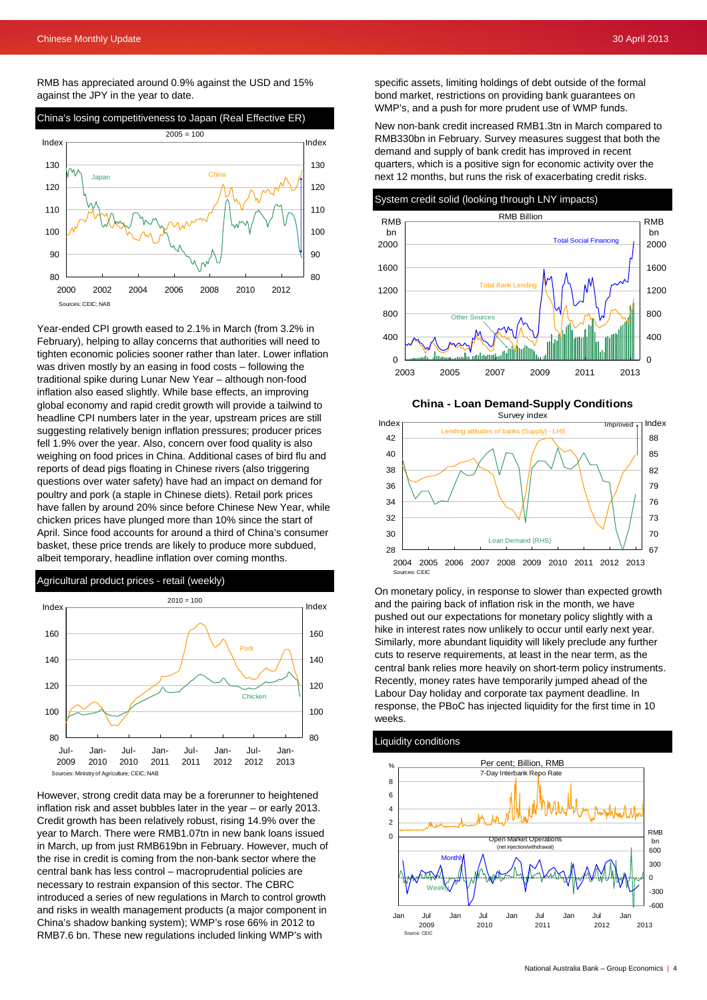RMB has appreciated around 0.9% against the USD and 15% against the JPY in the year to date.



Year-ended CPI growth eased to 2.1% in March (from 3.2% in February), helping to allay concerns that authorities will need to tighten economic policies sooner rather than later. Lower inflation was driven mostly by an easing in food costs – following the traditional spike during Lunar New Year – although non-food inflation also eased slightly. While base effects, an improving global economy and rapid credit growth will provide a tailwind to headline CPI numbers later in the year, upstream prices are still suggesting relatively benign inflation pressures; producer prices fell 1.9% over the year. Also, concern over food quality is also weighing on food prices in China. Additional cases of bird flu and reports of dead pigs floating in Chinese rivers (also triggering questions over water safety) have had an impact on demand for poultry and pork (a staple in Chinese diets). Retail pork prices have fallen by around 20% since before Chinese New Year, while chicken prices have plunged more than 10% since the start of April. Since food accounts for around a third of China's consumer basket, these price trends are likely to produce more subdued, albeit temporary, headline inflation over coming months.

Agricultural product prices - retail (weekly)



However, strong credit data may be a forerunner to heightened inflation risk and asset bubbles later in the year – or early 2013. Credit growth has been relatively robust, rising 14.9% over the year to March. There were RMB1.07tn in new bank loans issued in March, up from just RMB619bn in February. However, much of the rise in credit is coming from the non-bank sector where the central bank has less control – macroprudential policies are necessary to restrain expansion of this sector. The CBRC introduced a series of new regulations in March to control growth and risks in wealth management products (a major component in China's shadow banking system); WMP's rose 66% in 2012 to RMB7.6 bn. These new regulations included linking WMP's with

specific assets, limiting holdings of debt outside of the formal bond market, restrictions on providing bank guarantees on WMP's, and a push for more prudent use of WMP funds.

New non-bank credit increased RMB1.3tn in March compared to RMB330bn in February. Survey measures suggest that both the demand and supply of bank credit has improved in recent quarters, which is a positive sign for economic activity over the next 12 months, but runs the risk of exacerbating credit risks.



**China - Loan Demand-Supply Conditions**



On monetary policy, in response to slower than expected growth and the pairing back of inflation risk in the month, we have pushed out our expectations for monetary policy slightly with a hike in interest rates now unlikely to occur until early next year. Similarly, more abundant liquidity will likely preclude any further cuts to reserve requirements, at least in the near term, as the central bank relies more heavily on short-term policy instruments. Recently, money rates have temporarily jumped ahead of the Labour Day holiday and corporate tax payment deadline. In response, the PBoC has injected liquidity for the first time in 10 weeks.

## Liquidity conditions

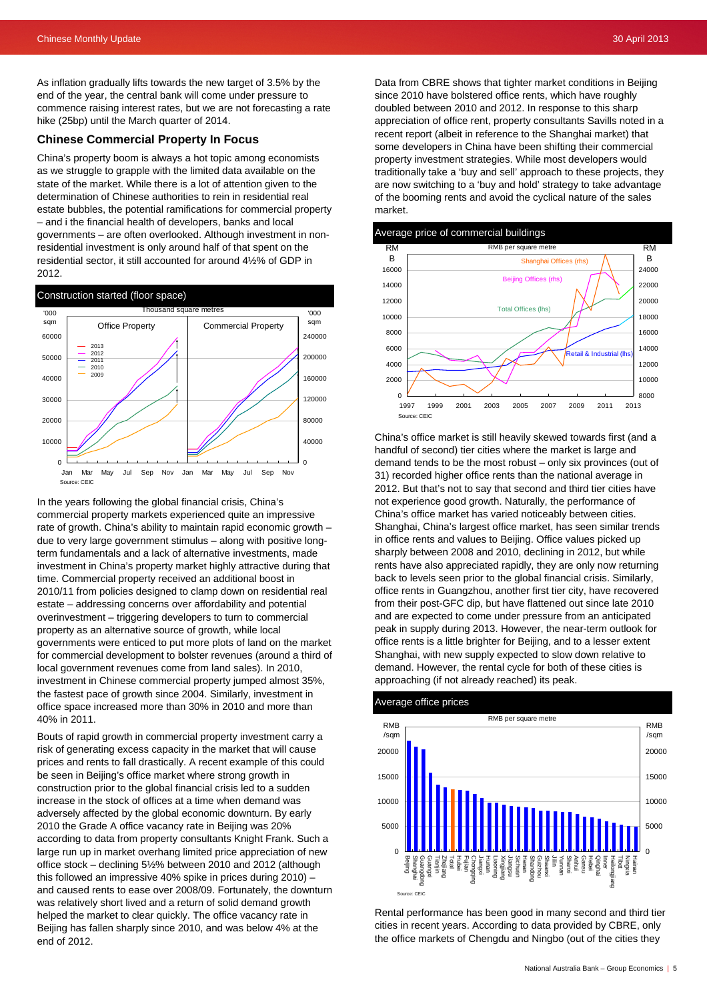As inflation gradually lifts towards the new target of 3.5% by the end of the year, the central bank will come under pressure to commence raising interest rates, but we are not forecasting a rate hike (25bp) until the March quarter of 2014.

## **Chinese Commercial Property In Focus**

China's property boom is always a hot topic among economists as we struggle to grapple with the limited data available on the state of the market. While there is a lot of attention given to the determination of Chinese authorities to rein in residential real estate bubbles, the potential ramifications for commercial property – and i the financial health of developers, banks and local governments – are often overlooked. Although investment in nonresidential investment is only around half of that spent on the residential sector, it still accounted for around 4½% of GDP in 2012.



In the years following the global financial crisis, China's commercial property markets experienced quite an impressive rate of growth. China's ability to maintain rapid economic growth – due to very large government stimulus – along with positive longterm fundamentals and a lack of alternative investments, made investment in China's property market highly attractive during that time. Commercial property received an additional boost in 2010/11 from policies designed to clamp down on residential real estate – addressing concerns over affordability and potential overinvestment – triggering developers to turn to commercial property as an alternative source of growth, while local governments were enticed to put more plots of land on the market for commercial development to bolster revenues (around a third of local government revenues come from land sales). In 2010, investment in Chinese commercial property jumped almost 35%, the fastest pace of growth since 2004. Similarly, investment in office space increased more than 30% in 2010 and more than 40% in 2011.

Bouts of rapid growth in commercial property investment carry a risk of generating excess capacity in the market that will cause prices and rents to fall drastically. A recent example of this could be seen in Beijing's office market where strong growth in construction prior to the global financial crisis led to a sudden increase in the stock of offices at a time when demand was adversely affected by the global economic downturn. By early 2010 the Grade A office vacancy rate in Beijing was 20% according to data from property consultants Knight Frank. Such a large run up in market overhang limited price appreciation of new office stock – declining 5½% between 2010 and 2012 (although this followed an impressive 40% spike in prices during 2010) – and caused rents to ease over 2008/09. Fortunately, the downturn was relatively short lived and a return of solid demand growth helped the market to clear quickly. The office vacancy rate in Beijing has fallen sharply since 2010, and was below 4% at the end of 2012.

Data from CBRE shows that tighter market conditions in Beijing since 2010 have bolstered office rents, which have roughly doubled between 2010 and 2012. In response to this sharp appreciation of office rent, property consultants Savills noted in a recent report (albeit in reference to the Shanghai market) that some developers in China have been shifting their commercial property investment strategies. While most developers would traditionally take a 'buy and sell' approach to these projects, they are now switching to a 'buy and hold' strategy to take advantage of the booming rents and avoid the cyclical nature of the sales market.



China's office market is still heavily skewed towards first (and a handful of second) tier cities where the market is large and demand tends to be the most robust – only six provinces (out of 31) recorded higher office rents than the national average in 2012. But that's not to say that second and third tier cities have not experience good growth. Naturally, the performance of China's office market has varied noticeably between cities. Shanghai, China's largest office market, has seen similar trends in office rents and values to Beijing. Office values picked up sharply between 2008 and 2010, declining in 2012, but while rents have also appreciated rapidly, they are only now returning back to levels seen prior to the global financial crisis. Similarly, office rents in Guangzhou, another first tier city, have recovered from their post-GFC dip, but have flattened out since late 2010 and are expected to come under pressure from an anticipated peak in supply during 2013. However, the near-term outlook for office rents is a little brighter for Beijing, and to a lesser extent Shanghai, with new supply expected to slow down relative to demand. However, the rental cycle for both of these cities is approaching (if not already reached) its peak.



Rental performance has been good in many second and third tier cities in recent years. According to data provided by CBRE, only the office markets of Chengdu and Ningbo (out of the cities they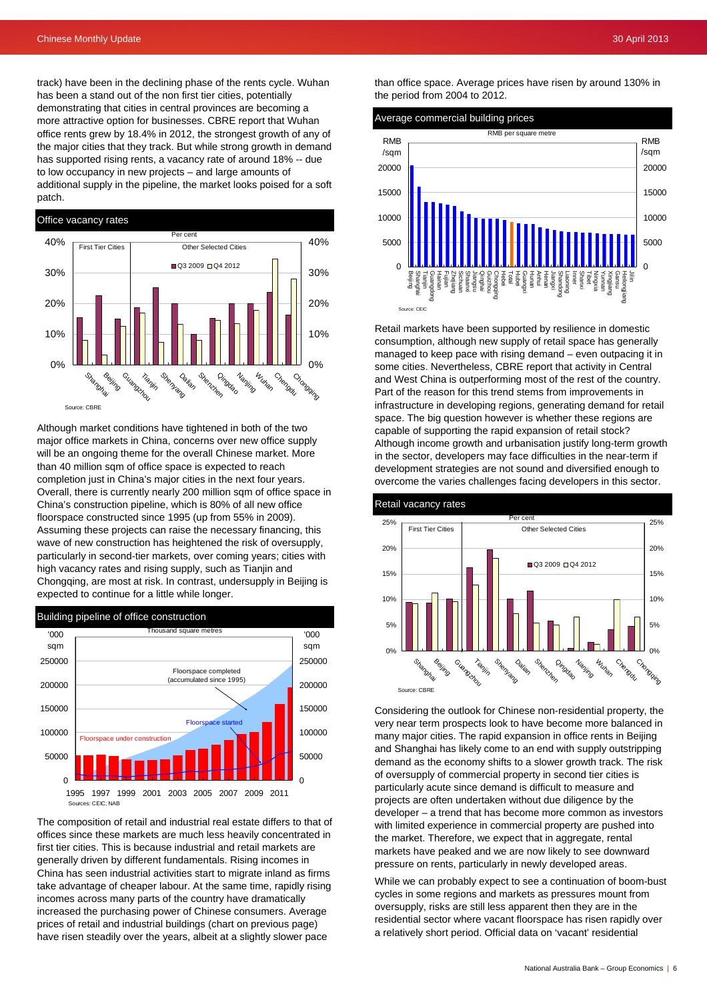track) have been in the declining phase of the rents cycle. Wuhan has been a stand out of the non first tier cities, potentially demonstrating that cities in central provinces are becoming a more attractive option for businesses. CBRE report that Wuhan office rents grew by 18.4% in 2012, the strongest growth of any of the major cities that they track. But while strong growth in demand has supported rising rents, a vacancy rate of around 18% -- due to low occupancy in new projects – and large amounts of additional supply in the pipeline, the market looks poised for a soft patch.



Although market conditions have tightened in both of the two major office markets in China, concerns over new office supply will be an ongoing theme for the overall Chinese market. More than 40 million sqm of office space is expected to reach completion just in China's major cities in the next four years. Overall, there is currently nearly 200 million sqm of office space in China's construction pipeline, which is 80% of all new office floorspace constructed since 1995 (up from 55% in 2009). Assuming these projects can raise the necessary financing, this wave of new construction has heightened the risk of oversupply, particularly in second-tier markets, over coming years; cities with high vacancy rates and rising supply, such as Tianjin and Chongqing, are most at risk. In contrast, undersupply in Beijing is expected to continue for a little while longer.



The composition of retail and industrial real estate differs to that of offices since these markets are much less heavily concentrated in first tier cities. This is because industrial and retail markets are generally driven by different fundamentals. Rising incomes in China has seen industrial activities start to migrate inland as firms take advantage of cheaper labour. At the same time, rapidly rising incomes across many parts of the country have dramatically increased the purchasing power of Chinese consumers. Average prices of retail and industrial buildings (chart on previous page) have risen steadily over the years, albeit at a slightly slower pace

than office space. Average prices have risen by around 130% in the period from 2004 to 2012.



Retail markets have been supported by resilience in domestic consumption, although new supply of retail space has generally managed to keep pace with rising demand – even outpacing it in some cities. Nevertheless, CBRE report that activity in Central and West China is outperforming most of the rest of the country. Part of the reason for this trend stems from improvements in infrastructure in developing regions, generating demand for retail space. The big question however is whether these regions are capable of supporting the rapid expansion of retail stock? Although income growth and urbanisation justify long-term growth in the sector, developers may face difficulties in the near-term if development strategies are not sound and diversified enough to overcome the varies challenges facing developers in this sector.



Considering the outlook for Chinese non-residential property, the very near term prospects look to have become more balanced in many major cities. The rapid expansion in office rents in Beijing and Shanghai has likely come to an end with supply outstripping demand as the economy shifts to a slower growth track. The risk of oversupply of commercial property in second tier cities is particularly acute since demand is difficult to measure and projects are often undertaken without due diligence by the developer – a trend that has become more common as investors with limited experience in commercial property are pushed into the market. Therefore, we expect that in aggregate, rental markets have peaked and we are now likely to see downward pressure on rents, particularly in newly developed areas.

While we can probably expect to see a continuation of boom-bust cycles in some regions and markets as pressures mount from oversupply, risks are still less apparent then they are in the residential sector where vacant floorspace has risen rapidly over a relatively short period. Official data on 'vacant' residential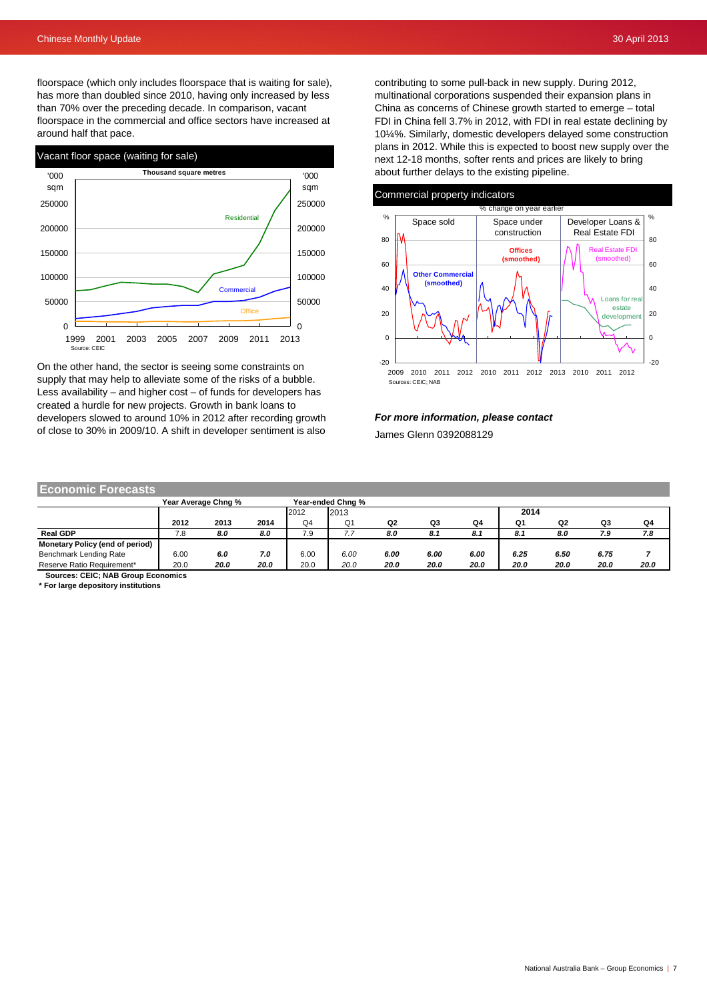floorspace (which only includes floorspace that is waiting for sale), has more than doubled since 2010, having only increased by less than 70% over the preceding decade. In comparison, vacant floorspace in the commercial and office sectors have increased at around half that pace.



On the other hand, the sector is seeing some constraints on supply that may help to alleviate some of the risks of a bubble. Less availability – and higher cost – of funds for developers has created a hurdle for new projects. Growth in bank loans to developers slowed to around 10% in 2012 after recording growth of close to 30% in 2009/10. A shift in developer sentiment is also

contributing to some pull-back in new supply. During 2012, multinational corporations suspended their expansion plans in China as concerns of Chinese growth started to emerge – total FDI in China fell 3.7% in 2012, with FDI in real estate declining by 10¼%. Similarly, domestic developers delayed some construction plans in 2012. While this is expected to boost new supply over the next 12-18 months, softer rents and prices are likely to bring about further delays to the existing pipeline.

### Commercial property indicators



#### *For more information, please contact*

James Glenn 0392088129

## **Economic Forecasts**

|                                 |      | Year Average Chng % | Year-ended Chng % |                |                |      |      |      |      |      |      |      |
|---------------------------------|------|---------------------|-------------------|----------------|----------------|------|------|------|------|------|------|------|
|                                 |      |                     |                   | 2012           | 2013           |      |      |      | 2014 |      |      |      |
|                                 | 2012 | 2013                | 2014              | Q <sub>4</sub> | Q <sub>1</sub> | Q2   | Q3   | Q4   | Q1   | Q2   | Q3   | Q4   |
| <b>Real GDP</b>                 | 7.8  | 8.0                 | 8.0               | 7.9            | , , ,          | 8.0  | 8.1  | 8.1  | 8.1  | 8.0  | 7.9  | 7.8  |
| Monetary Policy (end of period) |      |                     |                   |                |                |      |      |      |      |      |      |      |
| Benchmark Lending Rate          | 6.00 | 6.0                 | 7.0               | 6.00           | 6.00           | 6.00 | 6.00 | 6.00 | 6.25 | 6.50 | 6.75 |      |
| Reserve Ratio Requirement*      | 20.0 | 20.0                | 20.0              | 20.0           | 20.0           | 20.0 | 20.0 | 20.0 | 20.0 | 20.0 | 20.0 | 20.0 |

 **Sources: CEIC; NAB Group Economics**

**\* For large depository institutions**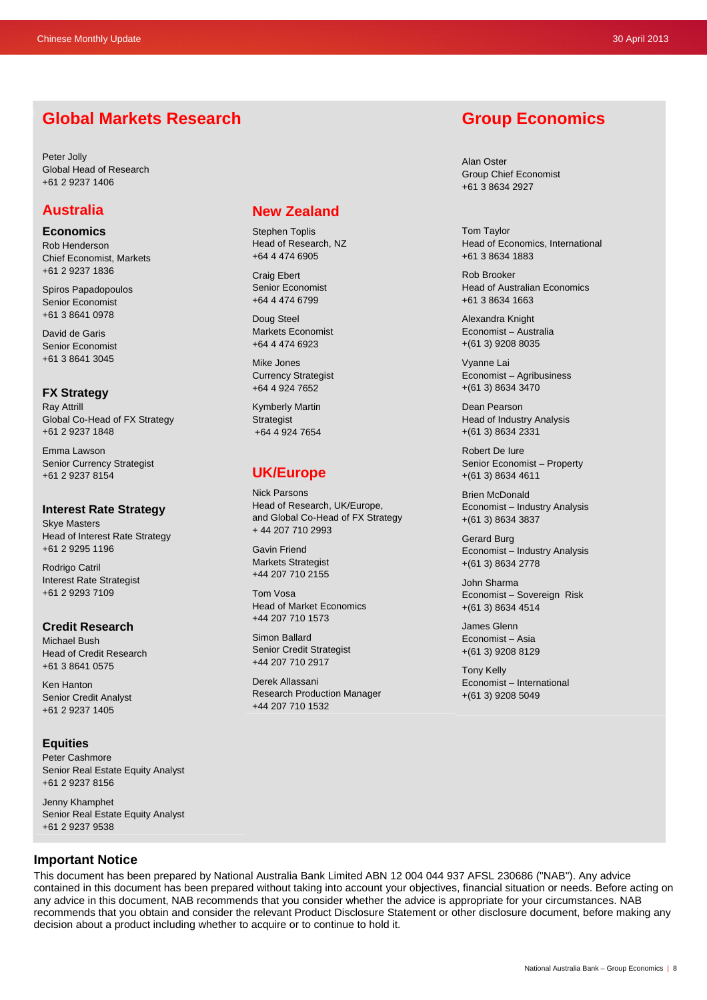## **Global Markets Research**

Peter Jolly Global Head of Research +61 2 9237 1406

## **Australia**

**Economics** 

Rob Henderson Chief Economist, Markets +61 2 9237 1836

Spiros Papadopoulos Senior Economist +61 3 8641 0978

David de Garis Senior Economist +61 3 8641 3045

## **FX Strategy**

Ray Attrill Global Co-Head of FX Strategy +61 2 9237 1848

Emma Lawson Senior Currency Strategist +61 2 9237 8154

## **Interest Rate Strategy**

Skye Masters Head of Interest Rate Strategy +61 2 9295 1196

Rodrigo Catril Interest Rate Strategist +61 2 9293 7109

### **Credit Research**  Michael Bush

Head of Credit Research +61 3 8641 0575

Ken Hanton Senior Credit Analyst +61 2 9237 1405

## **Equities**

Peter Cashmore Senior Real Estate Equity Analyst +61 2 9237 8156

Jenny Khamphet Senior Real Estate Equity Analyst +61 2 9237 9538

## **New Zealand**

Stephen Toplis Head of Research, NZ +64 4 474 6905

Craig Ebert Senior Economist +64 4 474 6799

Doug Steel Markets Economist +64 4 474 6923

Mike Jones Currency Strategist +64 4 924 7652

Kymberly Martin **Strategist** +64 4 924 7654

## **UK/Europe**

Nick Parsons Head of Research, UK/Europe, and Global Co-Head of FX Strategy + 44 207 710 2993

Gavin Friend Markets Strategist +44 207 710 2155

Tom Vosa Head of Market Economics +44 207 710 1573

Simon Ballard Senior Credit Strategist +44 207 710 2917

Derek Allassani Research Production Manager +44 207 710 1532

## **Group Economics**

Alan Oster Group Chief Economist +61 3 8634 2927

Tom Taylor Head of Economics, International +61 3 8634 1883

Rob Brooker Head of Australian Economics +61 3 8634 1663

Alexandra Knight Economist – Australia +(61 3) 9208 8035

Vyanne Lai Economist – Agribusiness +(61 3) 8634 3470

Dean Pearson Head of Industry Analysis +(61 3) 8634 2331

Robert De Iure Senior Economist – Property +(61 3) 8634 4611

Brien McDonald Economist – Industry Analysis +(61 3) 8634 3837

Gerard Burg Economist – Industry Analysis +(61 3) 8634 2778

John Sharma Economist – Sovereign Risk +(61 3) 8634 4514

James Glenn Economist – Asia +(61 3) 9208 8129

Tony Kelly Economist – International +(61 3) 9208 5049

## **Important Notice**

This document has been prepared by National Australia Bank Limited ABN 12 004 044 937 AFSL 230686 ("NAB"). Any advice contained in this document has been prepared without taking into account your objectives, financial situation or needs. Before acting on any advice in this document, NAB recommends that you consider whether the advice is appropriate for your circumstances. NAB recommends that you obtain and consider the relevant Product Disclosure Statement or other disclosure document, before making any decision about a product including whether to acquire or to continue to hold it.